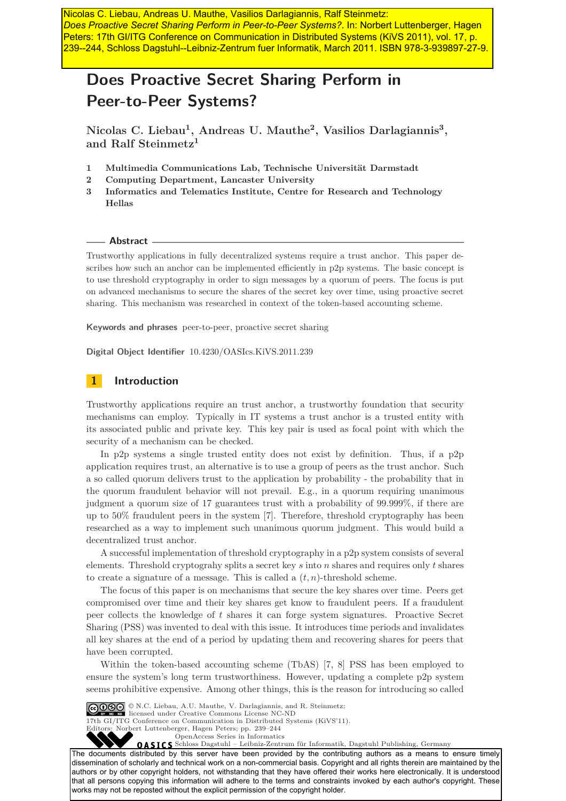*Does Proactive Secret Sharing Perform in Peer-to-Peer Systems?*. In: Norbert Luttenberger, Hagen Peters: 17th GI/ITG Conference on Communication in Distributed Systems (KiVS 2011), vol. 17, p. 239--244, Schloss Dagstuhl--Leibniz-Zentrum fuer Informatik, March 2011. ISBN 978-3-939897-27-9.

# **Does Proactive Secret Sharing Perform in Peer-to-Peer Systems?**

**Nicolas C. Liebau<sup>1</sup> , Andreas U. Mauthe<sup>2</sup> , Vasilios Darlagiannis<sup>3</sup> , and Ralf Steinmetz<sup>1</sup>**

- **1 Multimedia Communications Lab, Technische Universität Darmstadt**
- **2 Computing Department, Lancaster University**
- **3 Informatics and Telematics Institute, Centre for Research and Technology Hellas**

#### **Abstract**

Trustworthy applications in fully decentralized systems require a trust anchor. This paper describes how such an anchor can be implemented efficiently in p2p systems. The basic concept is to use threshold cryptography in order to sign messages by a quorum of peers. The focus is put on advanced mechanisms to secure the shares of the secret key over time, using proactive secret sharing. This mechanism was researched in context of the token-based accounting scheme.

**Keywords and phrases** peer-to-peer, proactive secret sharing

**Digital Object Identifier** [10.4230/OASIcs.KiVS.2011.239](http://dx.doi.org/10.4230/OASIcs.KiVS.2011.239)

# **1 Introduction**

Trustworthy applications require an trust anchor, a trustworthy foundation that security mechanisms can employ. Typically in IT systems a trust anchor is a trusted entity with its associated public and private key. This key pair is used as focal point with which the security of a mechanism can be checked.

In p2p systems a single trusted entity does not exist by definition. Thus, if a p2p application requires trust, an alternative is to use a group of peers as the trust anchor. Such a so called quorum delivers trust to the application by probability - the probability that in the quorum fraudulent behavior will not prevail. E.g., in a quorum requiring unanimous judgment a quorum size of 17 guarantees trust with a probability of 99.999%, if there are up to 50% fraudulent peers in the system [\[7\]](#page-5-0). Therefore, threshold cryptography has been researched as a way to implement such unanimous quorum judgment. This would build a decentralized trust anchor. **Nextral delivered in the control of the control of the state of the control of the control of the control of the control of the control of the control of the control of the control of the control of the control of the con** 

A successful implementation of threshold cryptography in a p2p system consists of several elements. Threshold cryptograhy splits a secret key *s* into *n* shares and requires only *t* shares to create a signature of a message. This is called a  $(t, n)$ -threshold scheme.

The focus of this paper is on mechanisms that secure the key shares over time. Peers get compromised over time and their key shares get know to fraudulent peers. If a fraudulent peer collects the knowledge of *t* shares it can forge system signatures. Proactive Secret Sharing (PSS) was invented to deal with this issue. It introduces time periods and invalidates all key shares at the end of a period by updating them and recovering shares for peers that have been corrupted.

Within the token-based accounting scheme (TbAS) [\[7,](#page-5-0) [8\]](#page-5-1) PSS has been employed to ensure the system's long term trustworthiness. However, updating a complete p2p system seems prohibitive expensive. Among other things, this is the reason for introducing so called



© N.C. Liebau, A.U. Mauthe, V. Darlagiannis, and R. Steinmetz; licensed under Creative Commons License NC-ND 17th GI/ITG Conference on Communication in Distributed Systems (KiVS'11).<br>Editors: Norbert Luttenberger, Hagen Peters; pp. 239–244 Editors: Norbert Luttenberger, Hagen Peters; pp. 239[–244](#page-5-2)

[OpenAccess Series in Informatics](http://www.dagstuhl.de/oasics/)<br> **OASICS** Schloss Dagstuhl – Leibniz-Zentrum für Informatik, Dagstuhl Publishing, Germany

The documents distributed by this server have been provided by the contributing authors as a means to ensure timely dissemination of scholarly and technical work on a non-commercial basis. Copyright and all rights therein are maintained by the authors or by other copyright holders, not withstanding that they have offered their works here electronically. It is understood that all persons copying this information will adhere to the terms and constraints invoked by each author's copyright. These works may not be reposted without the explicit permission of the copyright holder.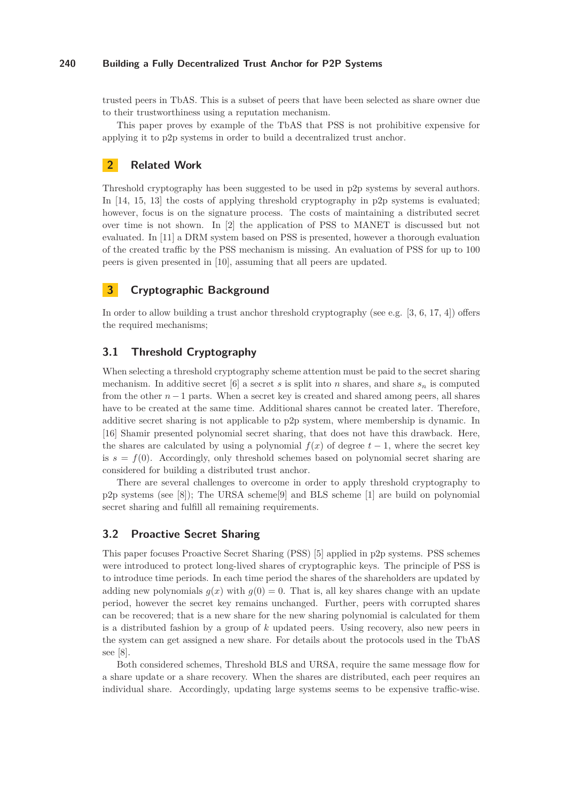## **240 Building a Fully Decentralized Trust Anchor for P2P Systems**

trusted peers in TbAS. This is a subset of peers that have been selected as share owner due to their trustworthiness using a reputation mechanism.

This paper proves by example of the TbAS that PSS is not prohibitive expensive for applying it to p2p systems in order to build a decentralized trust anchor.

## **2 Related Work**

Threshold cryptography has been suggested to be used in p2p systems by several authors. In [\[14,](#page-5-3) [15,](#page-5-4) [13\]](#page-5-5) the costs of applying threshold cryptography in p2p systems is evaluated; however, focus is on the signature process. The costs of maintaining a distributed secret over time is not shown. In [\[2\]](#page-5-6) the application of PSS to MANET is discussed but not evaluated. In [\[11\]](#page-5-7) a DRM system based on PSS is presented, however a thorough evaluation of the created traffic by the PSS mechanism is missing. An evaluation of PSS for up to 100 peers is given presented in [\[10\]](#page-5-8), assuming that all peers are updated.

# **3 Cryptographic Background**

In order to allow building a trust anchor threshold cryptography (see e.g. [\[3,](#page-5-9) [6,](#page-5-10) [17,](#page-5-11) [4\]](#page-5-12)) offers the required mechanisms;

# **3.1 Threshold Cryptography**

When selecting a threshold cryptography scheme attention must be paid to the secret sharing mechanism. In additive secret [\[6\]](#page-5-10) a secret *s* is split into *n* shares, and share  $s_n$  is computed from the other  $n-1$  parts. When a secret key is created and shared among peers, all shares have to be created at the same time. Additional shares cannot be created later. Therefore, additive secret sharing is not applicable to p2p system, where membership is dynamic. In [\[16\]](#page-5-13) Shamir presented polynomial secret sharing, that does not have this drawback. Here, the shares are calculated by using a polynomial  $f(x)$  of degree  $t-1$ , where the secret key is  $s = f(0)$ . Accordingly, only threshold schemes based on polynomial secret sharing are considered for building a distributed trust anchor.

There are several challenges to overcome in order to apply threshold cryptography to p2p systems (see [\[8\]](#page-5-1)); The URSA scheme[\[9\]](#page-5-14) and BLS scheme [\[1\]](#page-4-0) are build on polynomial secret sharing and fulfill all remaining requirements.

## **3.2 Proactive Secret Sharing**

This paper focuses Proactive Secret Sharing (PSS) [\[5\]](#page-5-15) applied in p2p systems. PSS schemes were introduced to protect long-lived shares of cryptographic keys. The principle of PSS is to introduce time periods. In each time period the shares of the shareholders are updated by adding new polynomials  $g(x)$  with  $g(0) = 0$ . That is, all key shares change with an update period, however the secret key remains unchanged. Further, peers with corrupted shares can be recovered; that is a new share for the new sharing polynomial is calculated for them is a distributed fashion by a group of *k* updated peers. Using recovery, also new peers in the system can get assigned a new share. For details about the protocols used in the TbAS see [\[8\]](#page-5-1).

Both considered schemes, Threshold BLS and URSA, require the same message flow for a share update or a share recovery. When the shares are distributed, each peer requires an individual share. Accordingly, updating large systems seems to be expensive traffic-wise.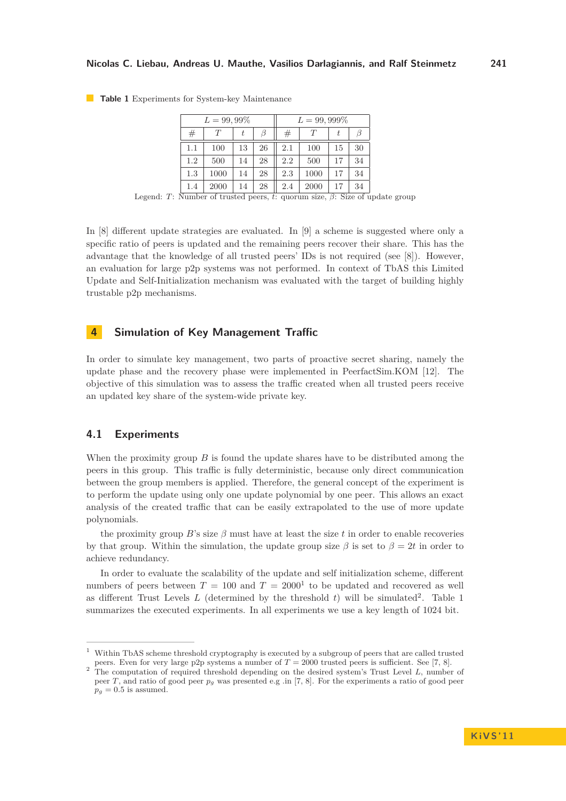| $L = 99,99\%$ |      |    |    | $L = 99,999\%$ |      |    |    |
|---------------|------|----|----|----------------|------|----|----|
| #             |      | t  | B  | #              | T    | t  |    |
| 1.1           | 100  | 13 | 26 | 2.1            | 100  | 15 | 30 |
| 1.2           | 500  | 14 | 28 | 2.2            | 500  | 17 | 34 |
| 1.3           | 1000 | 14 | 28 | 2.3            | 1000 | 17 | 34 |
| 1.4           | 2000 | 14 | 28 | 2.4            | 2000 | 17 | 34 |

<span id="page-2-0"></span>**Table 1** Experiments for System-key Maintenance

Legend: *T*: Number of trusted peers, *t*: quorum size, *β*: Size of update group

In [\[8\]](#page-5-1) different update strategies are evaluated. In [\[9\]](#page-5-14) a scheme is suggested where only a specific ratio of peers is updated and the remaining peers recover their share. This has the advantage that the knowledge of all trusted peers' IDs is not required (see [\[8\]](#page-5-1)). However, an evaluation for large p2p systems was not performed. In context of TbAS this Limited Update and Self-Initialization mechanism was evaluated with the target of building highly trustable p2p mechanisms.

# **4 Simulation of Key Management Traffic**

In order to simulate key management, two parts of proactive secret sharing, namely the update phase and the recovery phase were implemented in PeerfactSim.KOM [\[12\]](#page-5-16). The objective of this simulation was to assess the traffic created when all trusted peers receive an updated key share of the system-wide private key.

## **4.1 Experiments**

When the proximity group *B* is found the update shares have to be distributed among the peers in this group. This traffic is fully deterministic, because only direct communication between the group members is applied. Therefore, the general concept of the experiment is to perform the update using only one update polynomial by one peer. This allows an exact analysis of the created traffic that can be easily extrapolated to the use of more update polynomials.

the proximity group *B*'s size  $\beta$  must have at least the size *t* in order to enable recoveries by that group. Within the simulation, the update group size  $\beta$  is set to  $\beta = 2t$  in order to achieve redundancy.

In order to evaluate the scalability of the update and self initialization scheme, different numbers of peers between  $T = 100$  and  $T = 2000<sup>1</sup>$  to be updated and recovered as well as different Trust Levels  $L$  (determined by the threshold  $t$ ) will be simulated<sup>2</sup>. Table [1](#page-2-0) summarizes the executed experiments. In all experiments we use a key length of 1024 bit.

<sup>1</sup> Within TbAS scheme threshold cryptography is executed by a subgroup of peers that are called trusted peers. Even for very large p2p systems a number of  $T = 2000$  trusted peers is sufficient. See [\[7,](#page-5-0) [8\]](#page-5-1).

<sup>&</sup>lt;sup>2</sup> The computation of required threshold depending on the desired system's Trust Level *L*, number of peer *T*, and ratio of good peer *p<sup>g</sup>* was presented e.g .in [\[7,](#page-5-0) [8\]](#page-5-1). For the experiments a ratio of good peer  $p_g = 0.5$  is assumed.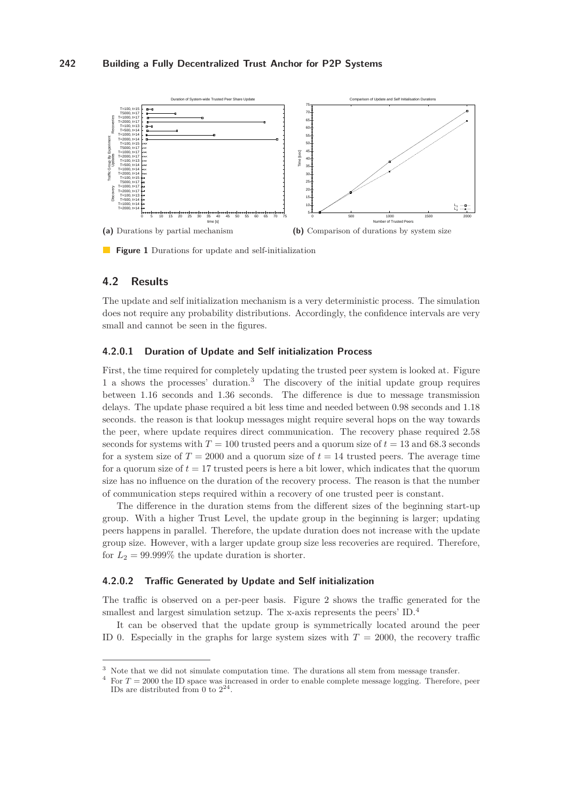## **242 Building a Fully Decentralized Trust Anchor for P2P Systems**

<span id="page-3-0"></span>

**Figure 1** Durations for update and self-initialization

## **4.2 Results**

The update and self initialization mechanism is a very deterministic process. The simulation does not require any probability distributions. Accordingly, the confidence intervals are very small and cannot be seen in the figures.

#### **4.2.0.1 Duration of Update and Self initialization Process**

First, the time required for completely updating the trusted peer system is looked at. Figure [1](#page-3-0) a shows the processes' duration.<sup>3</sup> The discovery of the initial update group requires between 1.16 seconds and 1.36 seconds. The difference is due to message transmission delays. The update phase required a bit less time and needed between 0.98 seconds and 1.18 seconds. the reason is that lookup messages might require several hops on the way towards the peer, where update requires direct communication. The recovery phase required 2.58 seconds for systems with  $T = 100$  trusted peers and a quorum size of  $t = 13$  and 68.3 seconds for a system size of  $T = 2000$  and a quorum size of  $t = 14$  trusted peers. The average time for a quorum size of  $t = 17$  trusted peers is here a bit lower, which indicates that the quorum size has no influence on the duration of the recovery process. The reason is that the number of communication steps required within a recovery of one trusted peer is constant.

The difference in the duration stems from the different sizes of the beginning start-up group. With a higher Trust Level, the update group in the beginning is larger; updating peers happens in parallel. Therefore, the update duration does not increase with the update group size. However, with a larger update group size less recoveries are required. Therefore, for  $L_2 = 99.999\%$  the update duration is shorter.

## **4.2.0.2 Traffic Generated by Update and Self initialization**

The traffic is observed on a per-peer basis. Figure [2](#page-4-1) shows the traffic generated for the smallest and largest simulation setzup. The x-axis represents the peers' ID.<sup>4</sup>

It can be observed that the update group is symmetrically located around the peer ID 0. Especially in the graphs for large system sizes with  $T = 2000$ , the recovery traffic

<sup>&</sup>lt;sup>3</sup> Note that we did not simulate computation time. The durations all stem from message transfer.

 $4$  For  $T = 2000$  the ID space was increased in order to enable complete message logging. Therefore, peer IDs are distributed from 0 to  $2^{24}$ .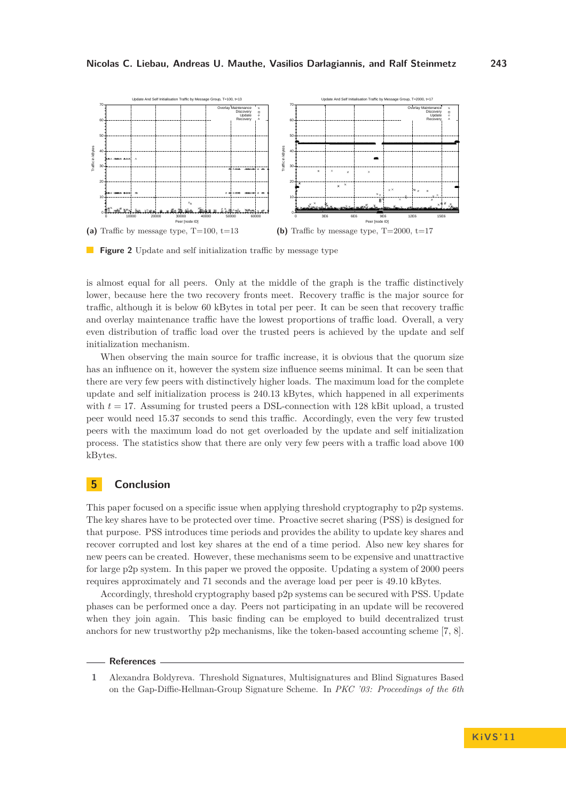<span id="page-4-1"></span>

**Figure 2** Update and self initialization traffic by message type

is almost equal for all peers. Only at the middle of the graph is the traffic distinctively lower, because here the two recovery fronts meet. Recovery traffic is the major source for traffic, although it is below 60 kBytes in total per peer. It can be seen that recovery traffic and overlay maintenance traffic have the lowest proportions of traffic load. Overall, a very even distribution of traffic load over the trusted peers is achieved by the update and self initialization mechanism.

When observing the main source for traffic increase, it is obvious that the quorum size has an influence on it, however the system size influence seems minimal. It can be seen that there are very few peers with distinctively higher loads. The maximum load for the complete update and self initialization process is 240.13 kBytes, which happened in all experiments with  $t = 17$ . Assuming for trusted peers a DSL-connection with 128 kBit upload, a trusted peer would need 15.37 seconds to send this traffic. Accordingly, even the very few trusted peers with the maximum load do not get overloaded by the update and self initialization process. The statistics show that there are only very few peers with a traffic load above 100 kBytes.

# **5 Conclusion**

This paper focused on a specific issue when applying threshold cryptography to p2p systems. The key shares have to be protected over time. Proactive secret sharing (PSS) is designed for that purpose. PSS introduces time periods and provides the ability to update key shares and recover corrupted and lost key shares at the end of a time period. Also new key shares for new peers can be created. However, these mechanisms seem to be expensive and unattractive for large p2p system. In this paper we proved the opposite. Updating a system of 2000 peers requires approximately and 71 seconds and the average load per peer is 49.10 kBytes.

Accordingly, threshold cryptography based p2p systems can be secured with PSS. Update phases can be performed once a day. Peers not participating in an update will be recovered when they join again. This basic finding can be employed to build decentralized trust anchors for new trustworthy p2p mechanisms, like the token-based accounting scheme [\[7,](#page-5-0) [8\]](#page-5-1).

#### <span id="page-4-0"></span>**References**

**1** Alexandra Boldyreva. Threshold Signatures, Multisignatures and Blind Signatures Based on the Gap-Diffie-Hellman-Group Signature Scheme. In *PKC '03: Proceedings of the 6th*